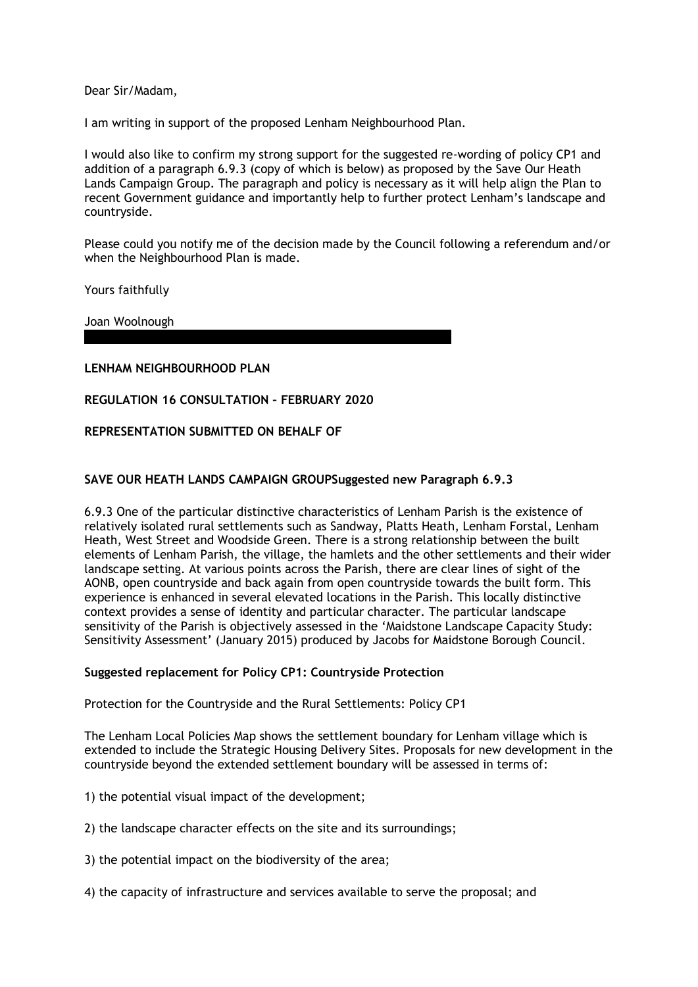Dear Sir/Madam,

I am writing in support of the proposed Lenham Neighbourhood Plan.

I would also like to confirm my strong support for the suggested re-wording of policy CP1 and addition of a paragraph 6.9.3 (copy of which is below) as proposed by the Save Our Heath Lands Campaign Group. The paragraph and policy is necessary as it will help align the Plan to recent Government guidance and importantly help to further protect Lenham's landscape and countryside.

Please could you notify me of the decision made by the Council following a referendum and/or when the Neighbourhood Plan is made.

Yours faithfully

Joan Woolnough

# **LENHAM NEIGHBOURHOOD PLAN**

# **REGULATION 16 CONSULTATION – FEBRUARY 2020**

## **REPRESENTATION SUBMITTED ON BEHALF OF**

# **SAVE OUR HEATH LANDS CAMPAIGN GROUPSuggested new Paragraph 6.9.3**

6.9.3 One of the particular distinctive characteristics of Lenham Parish is the existence of relatively isolated rural settlements such as Sandway, Platts Heath, Lenham Forstal, Lenham Heath, West Street and Woodside Green. There is a strong relationship between the built elements of Lenham Parish, the village, the hamlets and the other settlements and their wider landscape setting. At various points across the Parish, there are clear lines of sight of the AONB, open countryside and back again from open countryside towards the built form. This experience is enhanced in several elevated locations in the Parish. This locally distinctive context provides a sense of identity and particular character. The particular landscape sensitivity of the Parish is objectively assessed in the 'Maidstone Landscape Capacity Study: Sensitivity Assessment' (January 2015) produced by Jacobs for Maidstone Borough Council.

#### **Suggested replacement for Policy CP1: Countryside Protection**

Protection for the Countryside and the Rural Settlements: Policy CP1

The Lenham Local Policies Map shows the settlement boundary for Lenham village which is extended to include the Strategic Housing Delivery Sites. Proposals for new development in the countryside beyond the extended settlement boundary will be assessed in terms of:

1) the potential visual impact of the development;

- 2) the landscape character effects on the site and its surroundings;
- 3) the potential impact on the biodiversity of the area;
- 4) the capacity of infrastructure and services available to serve the proposal; and